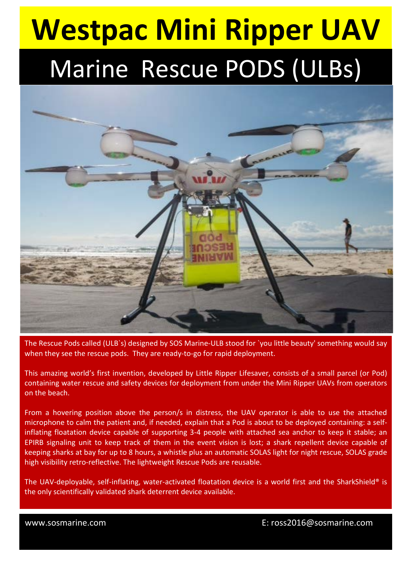# **Westpac Mini Ripper UAV** Marine Rescue PODS (ULBs)



The Rescue Pods called (ULB`s) designed by SOS Marine-ULB stood for `you little beauty' something would say when they see the rescue pods. They are ready-to-go for rapid deployment.

This amazing world's first invention, developed by Little Ripper Lifesaver, consists of a small parcel (or Pod) containing water rescue and safety devices for deployment from under the Mini Ripper UAVs from operators on the beach.

From a hovering position above the person/s in distress, the UAV operator is able to use the attached microphone to calm the patient and, if needed, explain that a Pod is about to be deployed containing: a selfinflating floatation device capable of supporting 3-4 people with attached sea anchor to keep it stable; an EPIRB signaling unit to keep track of them in the event vision is lost; a shark repellent device capable of keeping sharks at bay for up to 8 hours, a whistle plus an automatic SOLAS light for night rescue, SOLAS grade high visibility retro-reflective. The lightweight Rescue Pods are reusable.

The UAV-deployable, self-inflating, water-activated floatation device is a world first and the SharkShield® is the only scientifically validated shark deterrent device available.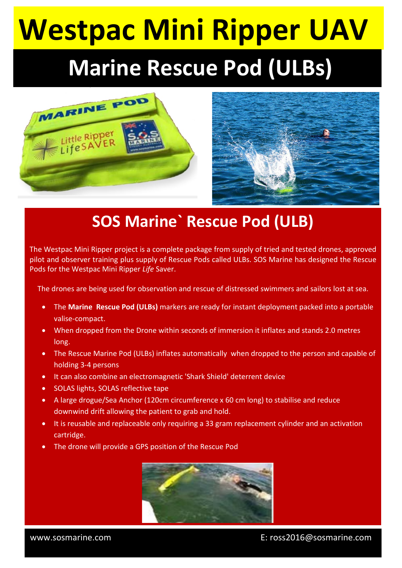# **Westpac Mini Ripper UAV**

#### **Marine Rescue Pod (ULBs)**





#### **SOS Marine` Rescue Pod (ULB)**

The Westpac Mini Ripper project is a complete package from supply of tried and tested drones, approved pilot and observer training plus supply of Rescue Pods called ULBs. SOS Marine has designed the Rescue Pods for the Westpac Mini Ripper *Life* Saver.

The drones are being used for observation and rescue of distressed swimmers and sailors lost at sea.

- The **Marine Rescue Pod (ULBs)** markers are ready for instant deployment packed into a portable valise-compact.
- When dropped from the Drone within seconds of immersion it inflates and stands 2.0 metres long.
- The Rescue Marine Pod (ULBs) inflates automatically when dropped to the person and capable of holding 3-4 persons
- It can also combine an electromagnetic 'Shark Shield' deterrent device
- SOLAS lights, SOLAS reflective tape
- A large drogue/Sea Anchor (120cm circumference x 60 cm long) to stabilise and reduce downwind drift allowing the patient to grab and hold.
- It is reusable and replaceable only requiring a 33 gram replacement cylinder and an activation cartridge.
- The drone will provide a GPS position of the Rescue Pod



 $\overline{\phantom{a}}$ 

www.sosmarine.com E: ross2016@sosmarine.com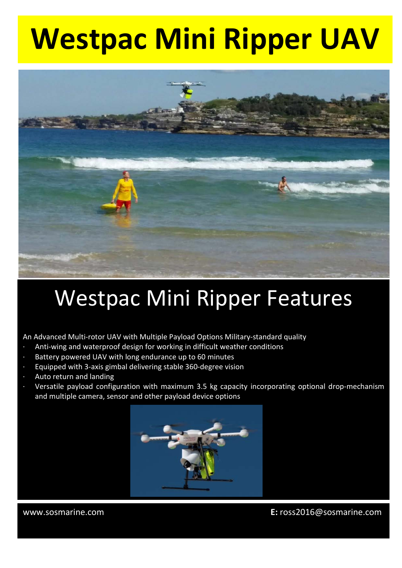### **Westpac Mini Ripper UAV**



#### Westpac Mini Ripper Features

An Advanced Multi-rotor UAV with Multiple Payload Options Military-standard quality

- Anti-wing and waterproof design for working in difficult weather conditions
- Battery powered UAV with long endurance up to 60 minutes
- Equipped with 3-axis gimbal delivering stable 360-degree vision
- Auto return and landing
- Versatile payload configuration with maximum 3.5 kg capacity incorporating optional drop-mechanism and multiple camera, sensor and other payload device options



۱